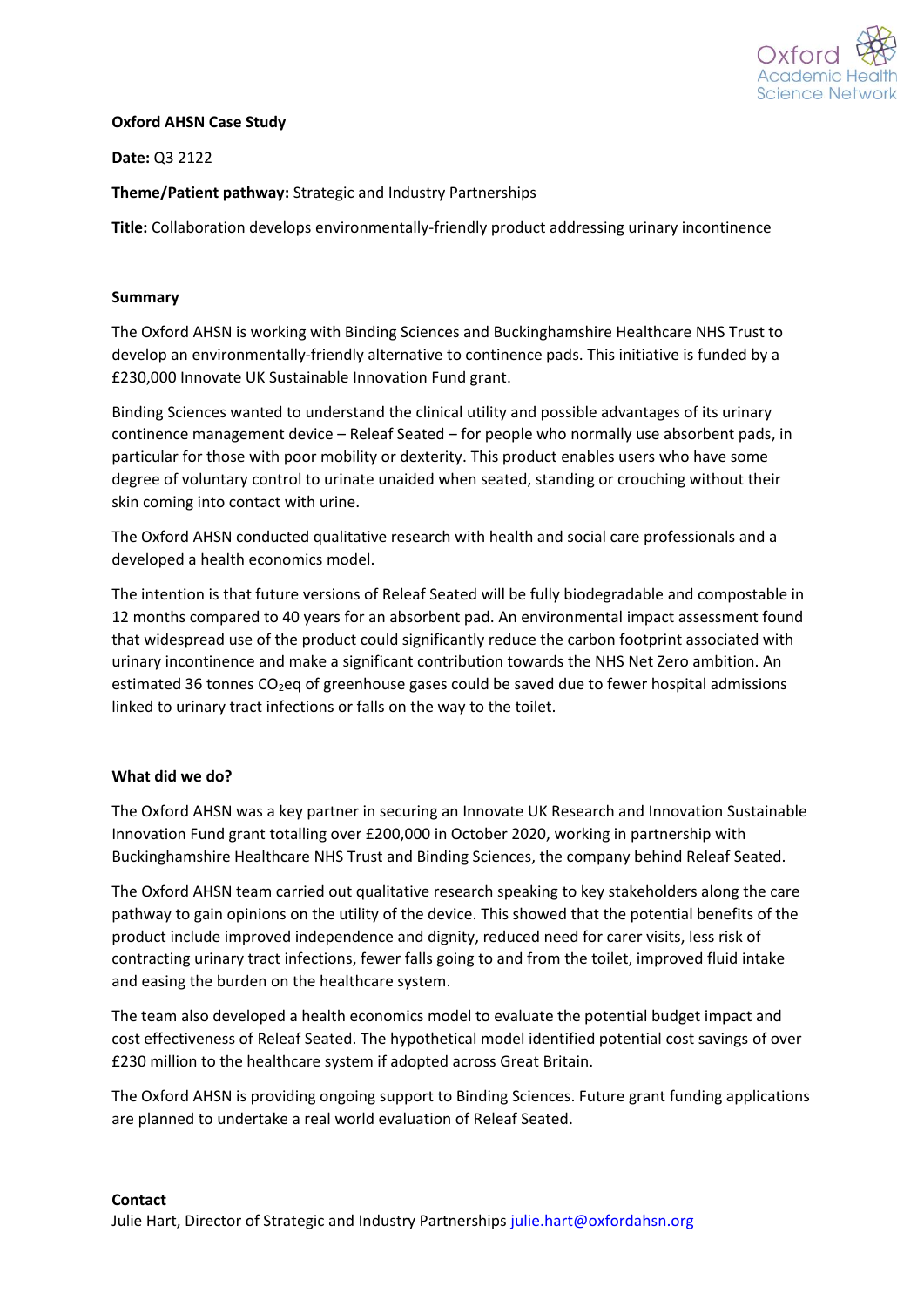

## **Oxford AHSN Case Study**

**Date:** Q3 2122

**Theme/Patient pathway:** Strategic and Industry Partnerships

**Title:** Collaboration develops environmentally-friendly product addressing urinary incontinence

# **Summary**

The Oxford AHSN is working with Binding Sciences and Buckinghamshire Healthcare NHS Trust to develop an environmentally-friendly alternative to continence pads. This initiative is funded by a £230,000 Innovate UK Sustainable Innovation Fund grant.

Binding Sciences wanted to understand the clinical utility and possible advantages of its urinary continence management device – Releaf Seated – for people who normally use absorbent pads, in particular for those with poor mobility or dexterity. This product enables users who have some degree of voluntary control to urinate unaided when seated, standing or crouching without their skin coming into contact with urine.

The Oxford AHSN conducted qualitative research with health and social care professionals and a developed a health economics model.

The intention is that future versions of Releaf Seated will be fully biodegradable and compostable in 12 months compared to 40 years for an absorbent pad. An environmental impact assessment found that widespread use of the product could significantly reduce the carbon footprint associated with urinary incontinence and make a significant contribution towards the NHS Net Zero ambition. An estimated 36 tonnes  $CO<sub>2</sub>$ eq of greenhouse gases could be saved due to fewer hospital admissions linked to urinary tract infections or falls on the way to the toilet.

## **What did we do?**

The Oxford AHSN was a key partner in securing an Innovate UK Research and Innovation Sustainable Innovation Fund grant totalling over £200,000 in October 2020, working in partnership with Buckinghamshire Healthcare NHS Trust and Binding Sciences, the company behind Releaf Seated.

The Oxford AHSN team carried out qualitative research speaking to key stakeholders along the care pathway to gain opinions on the utility of the device. This showed that the potential benefits of the product include improved independence and dignity, reduced need for carer visits, less risk of contracting urinary tract infections, fewer falls going to and from the toilet, improved fluid intake and easing the burden on the healthcare system.

The team also developed a health economics model to evaluate the potential budget impact and cost effectiveness of Releaf Seated. The hypothetical model identified potential cost savings of over £230 million to the healthcare system if adopted across Great Britain.

The Oxford AHSN is providing ongoing support to Binding Sciences. Future grant funding applications are planned to undertake a real world evaluation of Releaf Seated.